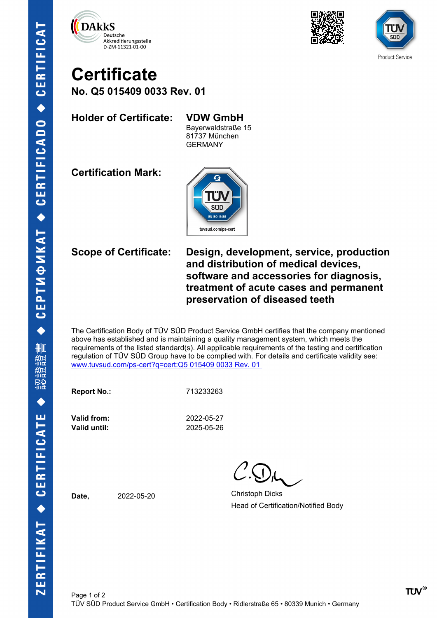





## **Certificate No. Q5 015409 0033 Rev. 01**

**Holder of Certificate: VDW GmbH**

Bayerwaldstraße 15 81737 München GERMANY

**Certification Mark:**



**Scope of Certificate: Design, development, service, production and distribution of medical devices, software and accessories for diagnosis, treatment of acute cases and permanent preservation of diseased teeth** 

The Certification Body of TÜV SÜD Product Service GmbH certifies that the company mentioned above has established and is maintaining a quality management system, which meets the requirements of the listed standard(s). All applicable requirements of the testing and certification regulation of TÜV SÜD Group have to be complied with. For details and certificate validity see: [www.tuvsud.com/ps-cert?q=cert:Q5 015409 0033 Rev. 01](http://www.tuvsud.com/ps-cert?q=cert:Q5%20015409%200033%20Rev.%2001%C2%A0) 

**Report No.:** 713233263

**Valid from:** 2022-05-27 **Valid until:** 2025-05-26

**Date,** 2022-05-20 Christoph Dicks Head of Certification/Notified Body